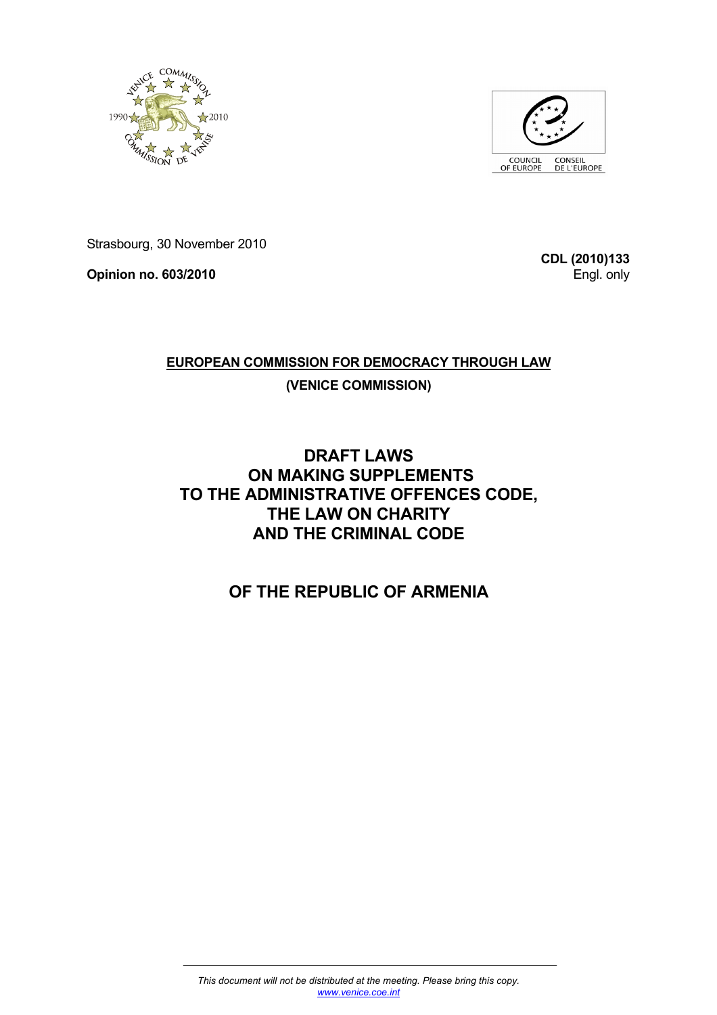



Strasbourg, 30 November 2010

**Opinion no. 603/2010** 

**CDL (2010)133** Engl. only

## **EUROPEAN COMMISSION FOR DEMOCRACY THROUGH LAW (VENICE COMMISSION)**

## **DRAFT LAWS ON MAKING SUPPLEMENTS TO THE ADMINISTRATIVE OFFENCES CODE, THE LAW ON CHARITY AND THE CRIMINAL CODE**

# **OF THE REPUBLIC OF ARMENIA**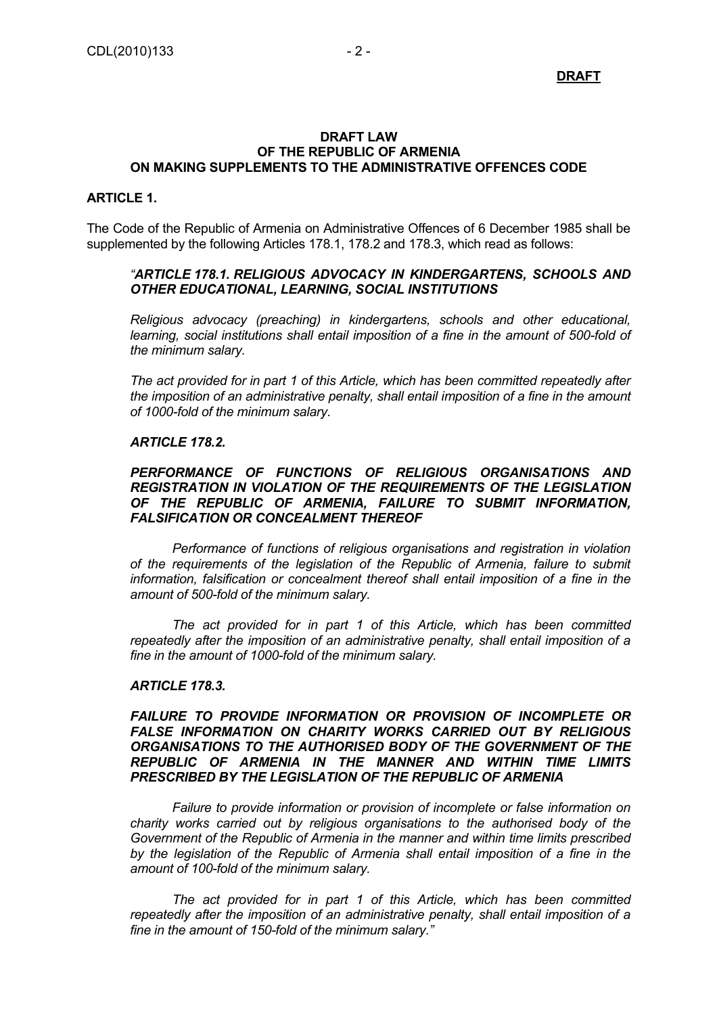**DRAFT**

#### **DRAFT LAW OF THE REPUBLIC OF ARMENIA ON MAKING SUPPLEMENTS TO THE ADMINISTRATIVE OFFENCES CODE**

### **ARTICLE 1.**

The Code of the Republic of Armenia on Administrative Offences of 6 December 1985 shall be supplemented by the following Articles 178.1, 178.2 and 178.3, which read as follows:

#### *"ARTICLE 178.1. RELIGIOUS ADVOCACY IN KINDERGARTENS, SCHOOLS AND OTHER EDUCATIONAL, LEARNING, SOCIAL INSTITUTIONS*

*Religious advocacy (preaching) in kindergartens, schools and other educational, learning, social institutions shall entail imposition of a fine in the amount of 500-fold of the minimum salary.* 

*The act provided for in part 1 of this Article, which has been committed repeatedly after the imposition of an administrative penalty, shall entail imposition of a fine in the amount of 1000-fold of the minimum salary.* 

### *ARTICLE 178.2.*

### *PERFORMANCE OF FUNCTIONS OF RELIGIOUS ORGANISATIONS AND REGISTRATION IN VIOLATION OF THE REQUIREMENTS OF THE LEGISLATION OF THE REPUBLIC OF ARMENIA, FAILURE TO SUBMIT INFORMATION, FALSIFICATION OR CONCEALMENT THEREOF*

 *Performance of functions of religious organisations and registration in violation of the requirements of the legislation of the Republic of Armenia, failure to submit*  information, falsification or concealment thereof shall entail imposition of a fine in the *amount of 500-fold of the minimum salary.* 

 *The act provided for in part 1 of this Article, which has been committed repeatedly after the imposition of an administrative penalty, shall entail imposition of a fine in the amount of 1000-fold of the minimum salary.* 

#### *ARTICLE 178.3.*

### *FAILURE TO PROVIDE INFORMATION OR PROVISION OF INCOMPLETE OR FALSE INFORMATION ON CHARITY WORKS CARRIED OUT BY RELIGIOUS ORGANISATIONS TO THE AUTHORISED BODY OF THE GOVERNMENT OF THE REPUBLIC OF ARMENIA IN THE MANNER AND WITHIN TIME LIMITS PRESCRIBED BY THE LEGISLATION OF THE REPUBLIC OF ARMENIA*

 *Failure to provide information or provision of incomplete or false information on charity works carried out by religious organisations to the authorised body of the Government of the Republic of Armenia in the manner and within time limits prescribed*  by the legislation of the Republic of Armenia shall entail imposition of a fine in the *amount of 100-fold of the minimum salary.* 

 *The act provided for in part 1 of this Article, which has been committed repeatedly after the imposition of an administrative penalty, shall entail imposition of a fine in the amount of 150-fold of the minimum salary."*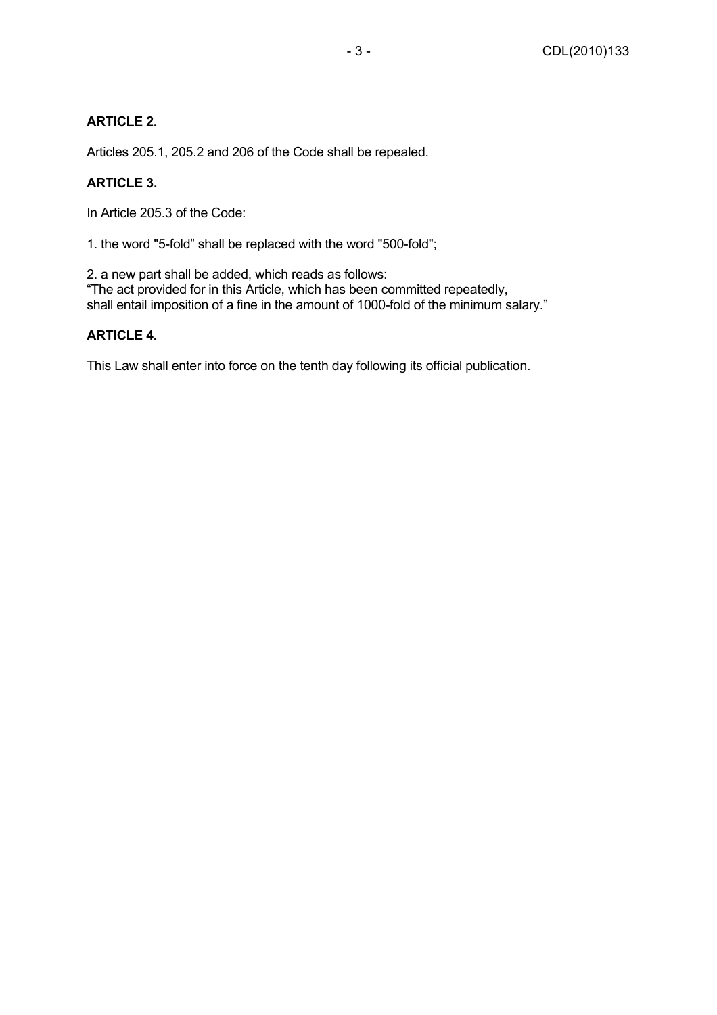### **ARTICLE 2.**

Articles 205.1, 205.2 and 206 of the Code shall be repealed.

### **ARTICLE 3.**

In Article 205.3 of the Code:

1. the word "5-fold" shall be replaced with the word "500-fold";

2. a new part shall be added, which reads as follows: "The act provided for in this Article, which has been committed repeatedly, shall entail imposition of a fine in the amount of 1000-fold of the minimum salary."

### **ARTICLE 4.**

This Law shall enter into force on the tenth day following its official publication.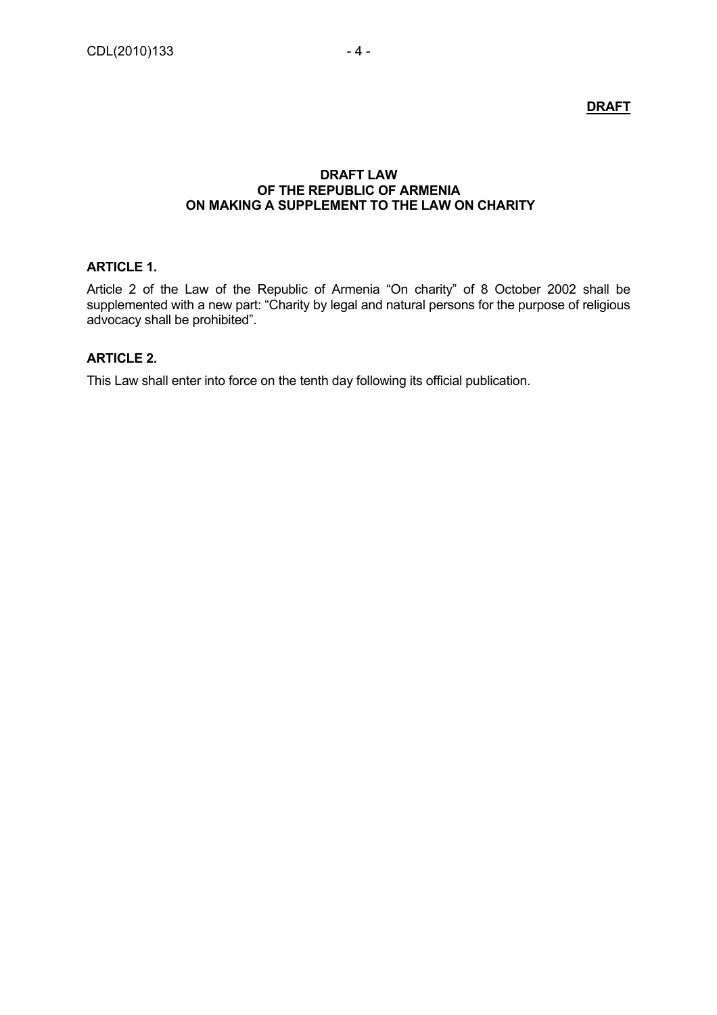**DRAFT**

### **DRAFT LAW OF THE REPUBLIC OF ARMENIA ON MAKING A SUPPLEMENT TO THE LAW ON CHARITY**

### **ARTICLE 1.**

Article 2 of the Law of the Republic of Armenia "On charity" of 8 October 2002 shall be supplemented with a new part: "Charity by legal and natural persons for the purpose of religious advocacy shall be prohibited".

### **ARTICLE 2.**

This Law shall enter into force on the tenth day following its official publication.